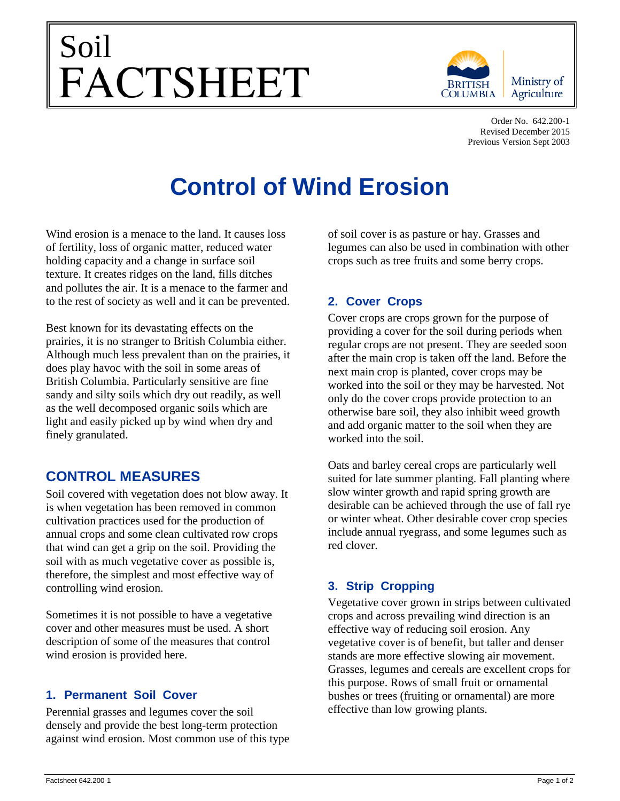# Soil<br>FACTSHEET



Order No. 642.200-1 Revised December 2015 Previous Version Sept 2003

# **Control of Wind Erosion**

Wind erosion is a menace to the land. It causes loss of fertility, loss of organic matter, reduced water holding capacity and a change in surface soil texture. It creates ridges on the land, fills ditches and pollutes the air. It is a menace to the farmer and to the rest of society as well and it can be prevented.

Best known for its devastating effects on the prairies, it is no stranger to British Columbia either. Although much less prevalent than on the prairies, it does play havoc with the soil in some areas of British Columbia. Particularly sensitive are fine sandy and silty soils which dry out readily, as well as the well decomposed organic soils which are light and easily picked up by wind when dry and finely granulated.

# **CONTROL MEASURES**

Soil covered with vegetation does not blow away. It is when vegetation has been removed in common cultivation practices used for the production of annual crops and some clean cultivated row crops that wind can get a grip on the soil. Providing the soil with as much vegetative cover as possible is, therefore, the simplest and most effective way of controlling wind erosion.

Sometimes it is not possible to have a vegetative cover and other measures must be used. A short description of some of the measures that control wind erosion is provided here.

## **1. Permanent Soil Cover**

Perennial grasses and legumes cover the soil densely and provide the best long-term protection against wind erosion. Most common use of this type

of soil cover is as pasture or hay. Grasses and legumes can also be used in combination with other crops such as tree fruits and some berry crops.

## **2. Cover Crops**

Cover crops are crops grown for the purpose of providing a cover for the soil during periods when regular crops are not present. They are seeded soon after the main crop is taken off the land. Before the next main crop is planted, cover crops may be worked into the soil or they may be harvested. Not only do the cover crops provide protection to an otherwise bare soil, they also inhibit weed growth and add organic matter to the soil when they are worked into the soil.

Oats and barley cereal crops are particularly well suited for late summer planting. Fall planting where slow winter growth and rapid spring growth are desirable can be achieved through the use of fall rye or winter wheat. Other desirable cover crop species include annual ryegrass, and some legumes such as red clover.

# **3. Strip Cropping**

Vegetative cover grown in strips between cultivated crops and across prevailing wind direction is an effective way of reducing soil erosion. Any vegetative cover is of benefit, but taller and denser stands are more effective slowing air movement. Grasses, legumes and cereals are excellent crops for this purpose. Rows of small fruit or ornamental bushes or trees (fruiting or ornamental) are more effective than low growing plants.